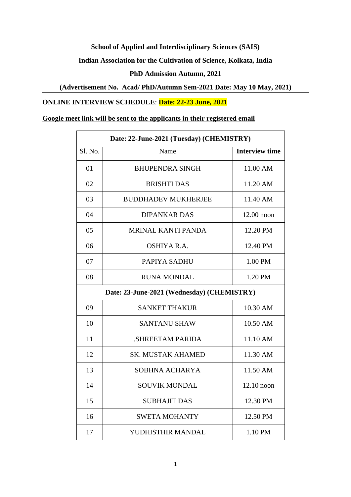### **School of Applied and Interdisciplinary Sciences (SAIS)**

### **Indian Association for the Cultivation of Science, Kolkata, India**

## **PhD Admission Autumn, 2021**

## **(Advertisement No. Acad/ PhD/Autumn Sem-2021 Date: May 10 May, 2021)**

# **ONLINE INTERVIEW SCHEDULE**: **Date: 22-23 June, 2021**

#### **Google meet link will be sent to the applicants in their registered email**

| Date: 22-June-2021 (Tuesday) (CHEMISTRY)   |                                       |                       |  |
|--------------------------------------------|---------------------------------------|-----------------------|--|
| Sl. No.                                    | Name                                  | <b>Interview time</b> |  |
| 01                                         | <b>BHUPENDRA SINGH</b>                | $11.00$ AM            |  |
| 02                                         | <b>BRISHTI DAS</b>                    | 11.20 AM              |  |
| 03                                         | <b>BUDDHADEV MUKHERJEE</b>            | 11.40 AM              |  |
| 04                                         | <b>DIPANKAR DAS</b><br>$12.00$ noon   |                       |  |
| 05                                         | <b>MRINAL KANTI PANDA</b><br>12.20 PM |                       |  |
| 06                                         | OSHIYA R.A.<br>12.40 PM               |                       |  |
| 07                                         | PAPIYA SADHU                          | 1.00 PM               |  |
| 08                                         | <b>RUNA MONDAL</b>                    | 1.20 PM               |  |
| Date: 23-June-2021 (Wednesday) (CHEMISTRY) |                                       |                       |  |
| 09                                         | <b>SANKET THAKUR</b>                  | 10.30 AM              |  |
| 10                                         | <b>SANTANU SHAW</b>                   | 10.50 AM              |  |
| 11                                         | <b>SHREETAM PARIDA</b><br>11.10 AM    |                       |  |
| 12                                         | <b>SK. MUSTAK AHAMED</b>              | 11.30 AM              |  |
| 13                                         | SOBHNA ACHARYA<br>11.50 AM            |                       |  |
| 14                                         | <b>SOUVIK MONDAL</b>                  | $12.10$ noon          |  |
| 15                                         | <b>SUBHAJIT DAS</b>                   | 12.30 PM              |  |
| 16                                         | <b>SWETA MOHANTY</b>                  | 12.50 PM              |  |
| 17                                         | YUDHISTHIR MANDAL                     | 1.10 PM               |  |